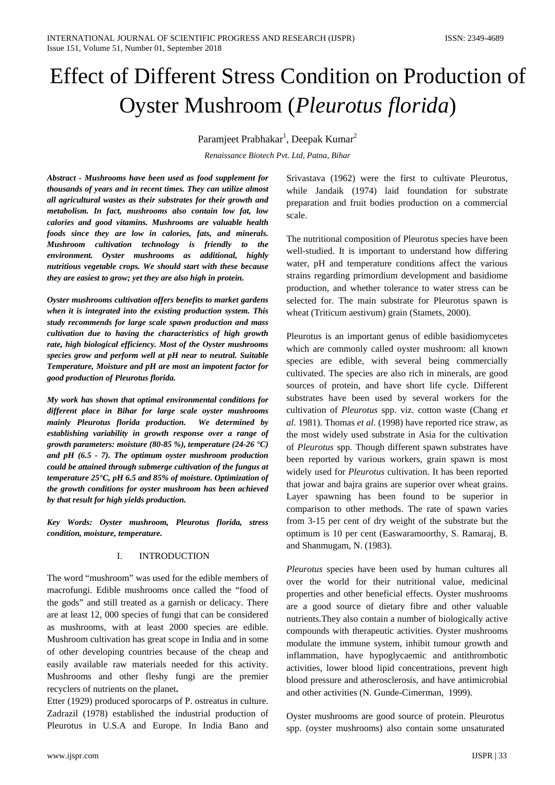# Effect of Different Stress Condition on Production of Oyster Mushroom (*Pleurotus florida*)

Paramjeet Prabhakar<sup>1</sup>, Deepak Kumar<sup>2</sup>

*[Renaissance Biotech Pvt. Ltd,](http://www.renaissancebiotech.co.in/) Patna, Bihar*

*Abstract - Mushrooms have been used as food supplement for thousands of years and in recent times. They can utilize almost all agricultural wastes as their substrates for their growth and metabolism. In fact, mushrooms also contain low fat, low calories and good vitamins. Mushrooms are valuable health foods since they are low in calories, fats, and minerals. Mushroom cultivation technology is friendly to the environment. Oyster mushrooms as additional, highly nutritious vegetable crops. We should start with these because they are easiest to grow; yet they are also high in protein.*

*Oyster mushrooms cultivation offers benefits to market gardens when it is integrated into the existing production system. This study recommends for large scale spawn production and mass cultivation due to having the characteristics of high growth rate, high biological efficiency. Most of the Oyster mushrooms species grow and perform well at pH near to neutral. Suitable Temperature, Moisture and pH are most an impotent factor for good production of Pleurotus florida.* 

*My work has shown that optimal environmental conditions for different place in Bihar for large scale oyster mushrooms mainly Pleurotus florida production. We determined by establishing variability in growth response over a range of growth parameters: moisture (80-85 %), temperature (24-26 °C) and pH (6.5 - 7). The optimum oyster mushroom production could be attained through submerge cultivation of the fungus at temperature 25°C, pH 6.5 and 85% of moisture. Optimization of the growth conditions for oyster mushroom has been achieved by that result for high yields production.*

*Key Words: Oyster mushroom, Pleurotus florida, stress condition, moisture, temperature.* 

#### I. INTRODUCTION

The word "mushroom" was used for the edible members of macrofungi. Edible mushrooms once called the "food of the gods" and still treated as a garnish or delicacy. There are at least 12, 000 species of fungi that can be considered as mushrooms, with at least 2000 species are edible. Mushroom cultivation has great scope in India and in some of other developing countries because of the cheap and easily available raw materials needed for this activity. Mushrooms and other fleshy fungi are the premier recyclers of nutrients on the planet**.**

Etter (1929) produced sporocarps of P. ostreatus in culture. Zadrazil (1978) established the industrial production of Pleurotus in U.S.A and Europe. In India Bano and Srivastava (1962) were the first to cultivate Pleurotus, while Jandaik (1974) laid foundation for substrate preparation and fruit bodies production on a commercial scale.

The nutritional composition of Pleurotus species have been well-studied. It is important to understand how differing water, pH and temperature conditions affect the various strains regarding primordium development and basidiome production, and whether tolerance to water stress can be selected for. The main substrate for Pleurotus spawn is wheat (Triticum aestivum) grain (Stamets, 2000).

Pleurotus is an important genus of edible basidiomycetes which are commonly called oyster mushroom: all known species are edible, with several being commercially cultivated. The species are also rich in minerals, are good sources of protein, and have short life cycle. Different substrates have been used by several workers for the cultivation of *Pleurotus* spp. viz. cotton waste (Chang *et al*. 1981). Thomas *et al*. (1998) have reported rice straw, as the most widely used substrate in Asia for the cultivation of *Pleurotus* spp. Though different spawn substrates have been reported by various workers, grain spawn is most widely used for *Pleurotus* cultivation. It has been reported that jowar and bajra grains are superior over wheat grains. Layer spawning has been found to be superior in comparison to other methods. The rate of spawn varies from 3-15 per cent of dry weight of the substrate but the optimum is 10 per cent (Easwaramoorthy, S. Ramaraj, B. and Shanmugam, N. (1983).

*Pleurotus* species have been used by human cultures all over the world for their nutritional value, medicinal properties and other beneficial effects. Oyster mushrooms are a good source of dietary fibre and other valuable nutrients.They also contain a number of biologically active compounds with therapeutic activities. Oyster mushrooms modulate the immune system, inhibit tumour growth and inflammation, have hypoglycaemic and antithrombotic activities, lower blood lipid concentrations, prevent high blood pressure and atherosclerosis, and have antimicrobial and other activities (N. Gunde-Cimerman, 1999).

Oyster mushrooms are good source of protein. Pleurotus spp. (oyster mushrooms) also contain some unsaturated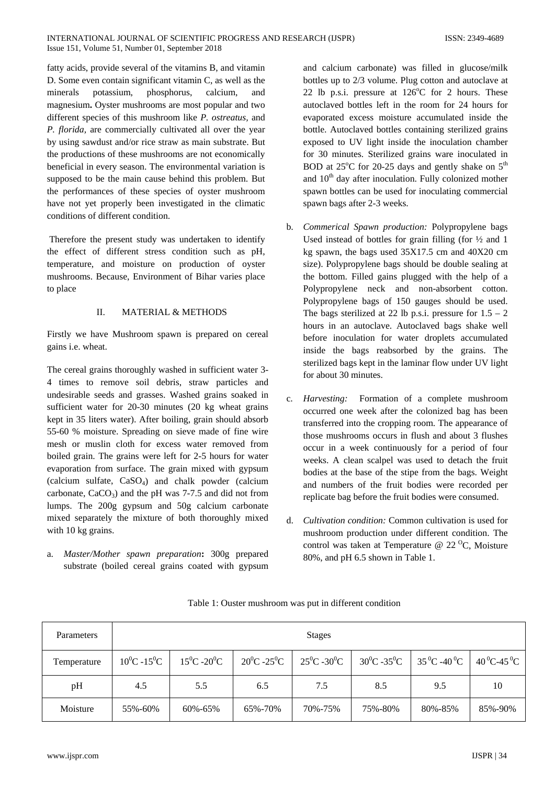fatty acids, provide several of the vitamins B, and vitamin D. Some even contain significant vitamin C, as well as the minerals potassium, phosphorus, calcium, and magnesium**.** Oyster mushrooms are most popular and two different species of this mushroom like *P. ostreatus,* and *P. florida,* are commercially cultivated all over the year by using sawdust and/or rice straw as main substrate. But the productions of these mushrooms are not economically beneficial in every season. The environmental variation is supposed to be the main cause behind this problem. But the performances of these species of oyster mushroom have not yet properly been investigated in the climatic conditions of different condition.

Therefore the present study was undertaken to identify the effect of different stress condition such as pH, temperature, and moisture on production of oyster mushrooms. Because, Environment of Bihar varies place to place

# II. MATERIAL & METHODS

Firstly we have Mushroom spawn is prepared on cereal gains i.e. wheat.

The cereal grains thoroughly washed in sufficient water 3- 4 times to remove soil debris, straw particles and undesirable seeds and grasses. Washed grains soaked in sufficient water for 20-30 minutes (20 kg wheat grains kept in 35 liters water). After boiling, grain should absorb 55-60 % moisture. Spreading on sieve made of fine wire mesh or muslin cloth for excess water removed from boiled grain. The grains were left for 2-5 hours for water evaporation from surface. The grain mixed with gypsum (calcium sulfate,  $CaSO<sub>4</sub>$ ) and chalk powder (calcium carbonate,  $CaCO<sub>3</sub>$ ) and the pH was 7-7.5 and did not from lumps. The 200g gypsum and 50g calcium carbonate mixed separately the mixture of both thoroughly mixed with 10 kg grains.

a. *Master/Mother spawn preparation***:** 300g prepared substrate (boiled cereal grains coated with gypsum

and calcium carbonate) was filled in glucose/milk bottles up to 2/3 volume. Plug cotton and autoclave at 22 lb p.s.i. pressure at  $126^{\circ}$ C for 2 hours. These autoclaved bottles left in the room for 24 hours for evaporated excess moisture accumulated inside the bottle. Autoclaved bottles containing sterilized grains exposed to UV light inside the inoculation chamber for 30 minutes. Sterilized grains ware inoculated in BOD at  $25^{\circ}$ C for 20-25 days and gently shake on  $5^{\text{th}}$ and 10<sup>th</sup> day after inoculation. Fully colonized mother spawn bottles can be used for inoculating commercial spawn bags after 2-3 weeks.

- b. *Commerical Spawn production:* Polypropylene bags Used instead of bottles for grain filling (for ½ and 1 kg spawn, the bags used 35X17.5 cm and 40X20 cm size). Polypropylene bags should be double sealing at the bottom. Filled gains plugged with the help of a Polypropylene neck and non-absorbent cotton. Polypropylene bags of 150 gauges should be used. The bags sterilized at 22 lb p.s.i. pressure for  $1.5 - 2$ hours in an autoclave. Autoclaved bags shake well before inoculation for water droplets accumulated inside the bags reabsorbed by the grains. The sterilized bags kept in the laminar flow under UV light for about 30 minutes.
- c. *Harvesting:*Formation of a complete mushroom occurred one week after the colonized bag has been transferred into the cropping room. The appearance of those mushrooms occurs in flush and about 3 flushes occur in a week continuously for a period of four weeks. A clean scalpel was used to detach the fruit bodies at the base of the stipe from the bags. Weight and numbers of the fruit bodies were recorded per replicate bag before the fruit bodies were consumed.
- d. *Cultivation condition:* Common cultivation is used for mushroom production under different condition. The control was taken at Temperature @  $22<sup>o</sup>C$ , Moisture 80%, and pH 6.5 shown in Table 1.

| Parameters  | <b>Stages</b>   |                 |                 |                 |                 |                                 |                                |  |  |
|-------------|-----------------|-----------------|-----------------|-----------------|-----------------|---------------------------------|--------------------------------|--|--|
| Temperature | $10^0C - 15^0C$ | $15^0C - 20^0C$ | $20^0C - 25^0C$ | $25^0C - 30^0C$ | $30^0C - 35^0C$ | $35^{\,0}$ C -40 <sup>0</sup> C | $40^{\circ}$ C-45 $^{\circ}$ C |  |  |
| pH          | 4.5             | 5.5             | 6.5             | 7.5             | 8.5             | 9.5                             | 10                             |  |  |
| Moisture    | 55%-60%         | 60%-65%         | 65%-70%         | 70%-75%         | 75%-80%         | 80%-85%                         | 85%-90%                        |  |  |

Table 1: Ouster mushroom was put in different condition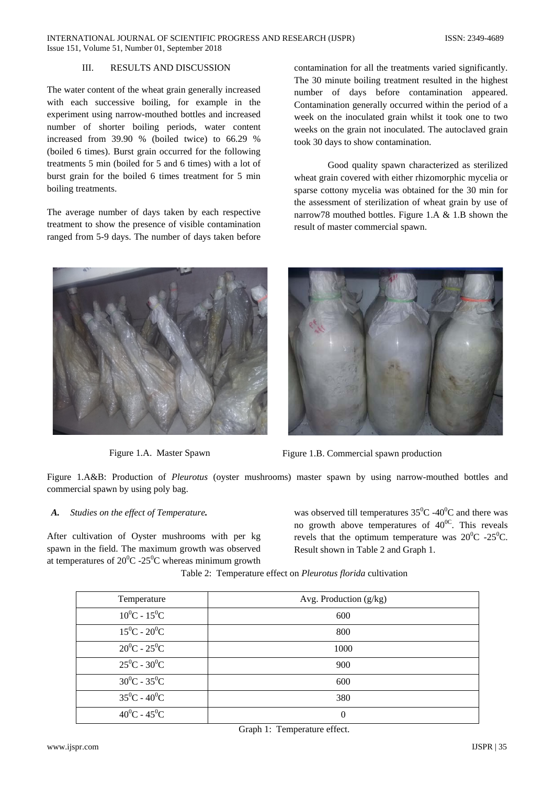### III. RESULTS AND DISCUSSION

The water content of the wheat grain generally increased with each successive boiling, for example in the experiment using narrow-mouthed bottles and increased number of shorter boiling periods, water content increased from 39.90 % (boiled twice) to 66.29 % (boiled 6 times). Burst grain occurred for the following treatments 5 min (boiled for 5 and 6 times) with a lot of burst grain for the boiled 6 times treatment for 5 min boiling treatments.

The average number of days taken by each respective treatment to show the presence of visible contamination ranged from 5-9 days. The number of days taken before

contamination for all the treatments varied significantly. The 30 minute boiling treatment resulted in the highest number of days before contamination appeared. Contamination generally occurred within the period of a week on the inoculated grain whilst it took one to two weeks on the grain not inoculated. The autoclaved grain took 30 days to show contamination.

Good quality spawn characterized as sterilized wheat grain covered with either rhizomorphic mycelia or sparse cottony mycelia was obtained for the 30 min for the assessment of sterilization of wheat grain by use of narrow78 mouthed bottles. Figure 1.A & 1.B shown the result of master commercial spawn.





Figure 1.A. Master Spawn Figure 1.B. Commercial spawn production

Figure 1.A&B: Production of *Pleurotus* (oyster mushrooms) master spawn by using narrow-mouthed bottles and commercial spawn by using poly bag.

## *A. Studies on the effect of Temperature.*

After cultivation of Oyster mushrooms with per kg spawn in the field. The maximum growth was observed at temperatures of  $20^0C - 25^0C$  whereas minimum growth

was observed till temperatures  $35^{\circ}$ C -40<sup>°</sup>C and there was no growth above temperatures of  $40^{\circ}$ . This reveals revels that the optimum temperature was  $20^0C - 25^0C$ . Result shown in Table 2 and Graph 1.

| Temperature     | Avg. Production $(g/kg)$ |  |  |
|-----------------|--------------------------|--|--|
| $10^0C - 15^0C$ | 600                      |  |  |
| $15^0C - 20^0C$ | 800                      |  |  |
| $20^0C - 25^0C$ | 1000                     |  |  |
| $25^0C - 30^0C$ | 900                      |  |  |
| $30^0C - 35^0C$ | 600                      |  |  |
| $35^0C - 40^0C$ | 380                      |  |  |
| $40^0C - 45^0C$ | $\theta$                 |  |  |

Table 2: Temperature effect on *Pleurotus florida* cultivation

Graph 1: Temperature effect.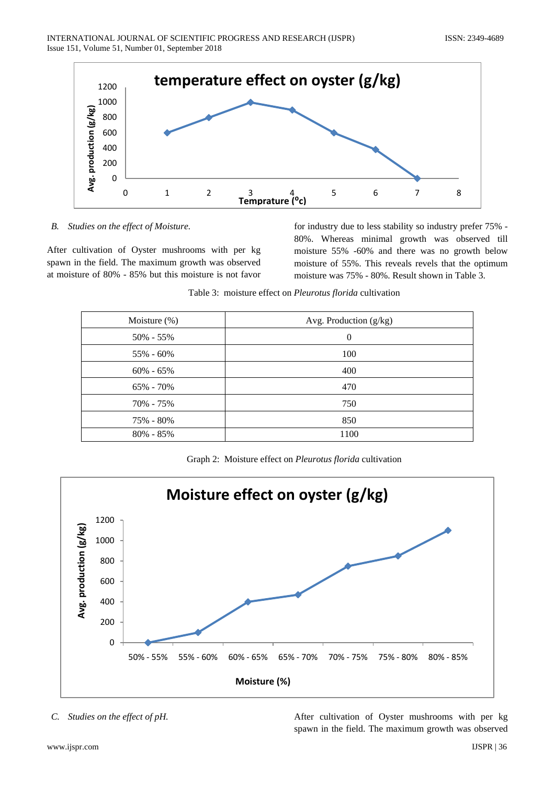

*B. Studies on the effect of Moisture.*

After cultivation of Oyster mushrooms with per kg spawn in the field. The maximum growth was observed at moisture of 80% - 85% but this moisture is not favor for industry due to less stability so industry prefer 75% - 80%. Whereas minimal growth was observed till moisture 55% -60% and there was no growth below moisture of 55%. This reveals revels that the optimum moisture was 75% - 80%. Result shown in Table 3.

| Moisture $(\%)$ | Avg. Production (g/kg) |  |  |
|-----------------|------------------------|--|--|
| 50% - 55%       | $\overline{0}$         |  |  |
| 55% - 60%       | 100                    |  |  |
| $60\% - 65\%$   | 400                    |  |  |
| 65% - 70%       | 470                    |  |  |
| 70% - 75%       | 750                    |  |  |
| 75% - 80%       | 850                    |  |  |
| $80\% - 85\%$   | 1100                   |  |  |
|                 |                        |  |  |

Table 3: moisture effect on *Pleurotus florida* cultivation

Graph 2: Moisture effect on *Pleurotus florida* cultivation



*C. Studies on the effect of pH.* After cultivation of Oyster mushrooms with per kg spawn in the field. The maximum growth was observed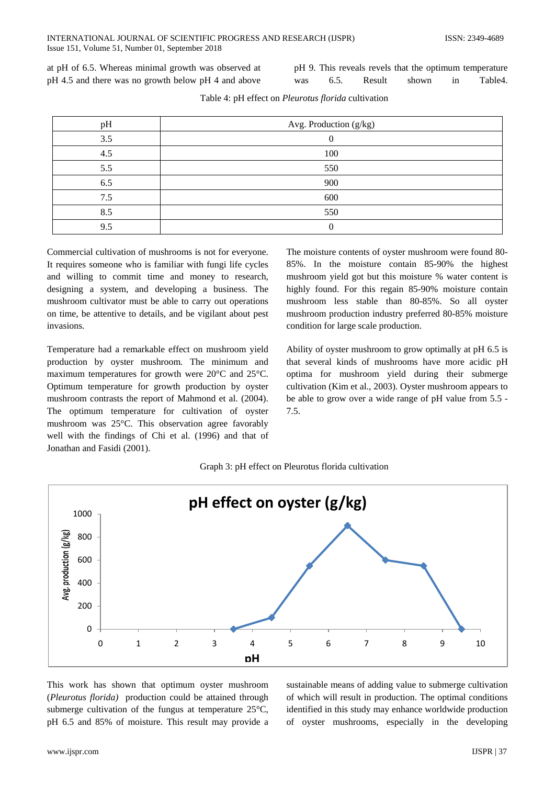at pH of 6.5. Whereas minimal growth was observed at pH 4.5 and there was no growth below pH 4 and above

pH 9. This reveals revels that the optimum temperature was 6.5. Result shown in Table4.

| pH  | Avg. Production (g/kg) |  |  |
|-----|------------------------|--|--|
| 3.5 |                        |  |  |
| 4.5 | 100                    |  |  |
| 5.5 | 550                    |  |  |
| 6.5 | 900                    |  |  |
| 7.5 | 600                    |  |  |
| 8.5 | 550                    |  |  |
| 9.5 |                        |  |  |

Table 4: pH effect on *Pleurotus florida* cultivation

Commercial cultivation of mushrooms is not for everyone. It requires someone who is familiar with fungi life cycles and willing to commit time and money to research, designing a system, and developing a business. The mushroom cultivator must be able to carry out operations on time, be attentive to details, and be vigilant about pest invasions.

Temperature had a remarkable effect on mushroom yield production by oyster mushroom*.* The minimum and maximum temperatures for growth were 20°C and 25°C. Optimum temperature for growth production by oyster mushroom contrasts the report of Mahmond et al. (2004). The optimum temperature for cultivation of oyster mushroom was 25°C. This observation agree favorably well with the findings of Chi et al. (1996) and that of Jonathan and Fasidi (2001).

The moisture contents of oyster mushroom were found 80- 85%. In the moisture contain 85-90% the highest mushroom yield got but this moisture % water content is highly found. For this regain 85-90% moisture contain mushroom less stable than 80-85%. So all oyster mushroom production industry preferred 80-85% moisture condition for large scale production.

Ability of oyster mushroom to grow optimally at pH 6.5 is that several kinds of mushrooms have more acidic pH optima for mushroom yield during their submerge cultivation (Kim et al., 2003). Oyster mushroom appears to be able to grow over a wide range of pH value from 5.5 - 7.5.

|  |  |  |  |  |  | Graph 3: pH effect on Pleurotus florida cultivation |
|--|--|--|--|--|--|-----------------------------------------------------|
|--|--|--|--|--|--|-----------------------------------------------------|



This work has shown that optimum oyster mushroom (*Pleurotus florida)* production could be attained through submerge cultivation of the fungus at temperature 25°C, pH 6.5 and 85% of moisture. This result may provide a sustainable means of adding value to submerge cultivation of which will result in production. The optimal conditions identified in this study may enhance worldwide production of oyster mushrooms, especially in the developing